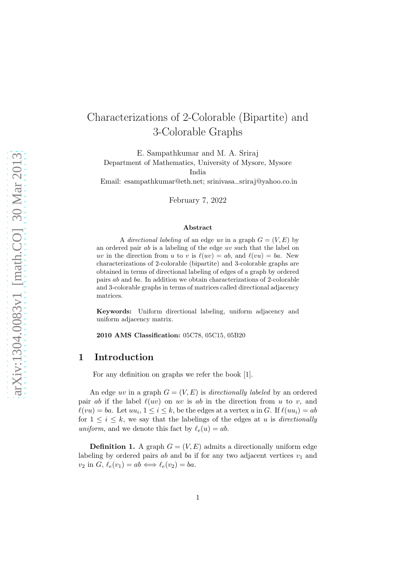# Characterizations of 2-Colorable (Bipartite) and 3-Colorable Graphs

E. Sampathkumar and M. A. Sriraj Department of Mathematics, University of Mysore, Mysore India

Email: esampathkumar@eth.net; srinivasa−sriraj@yahoo.co.in

February 7, 2022

#### Abstract

A directional labeling of an edge uv in a graph  $G = (V, E)$  by an ordered pair ab is a labeling of the edge uv such that the label on uv in the direction from u to v is  $\ell(uv) = ab$ , and  $\ell(vu) = ba$ . New characterizations of 2-colorable (bipartite) and 3-colorable graphs are obtained in terms of directional labeling of edges of a graph by ordered pairs ab and ba. In addition we obtain characterizations of 2-colorable and 3-colorable graphs in terms of matrices called directional adjacency matrices.

Keywords: Uniform directional labeling, uniform adjacency and uniform adjacency matrix.

2010 AMS Classification: 05C78, 05C15, 05B20

### 1 Introduction

For any definition on graphs we refer the book [1].

An edge uv in a graph  $G = (V, E)$  is directionally labeled by an ordered pair *ab* if the label  $\ell(uv)$  on uv is *ab* in the direction from u to v, and  $\ell(vu) = ba$ . Let  $uu_i$ ,  $1 \leq i \leq k$ , be the edges at a vertex u in G. If  $\ell(uu_i) = ab$ for  $1 \leq i \leq k$ , we say that the labelings of the edges at u is directionally uniform, and we denote this fact by  $\ell_e(u) = ab$ .

**Definition 1.** A graph  $G = (V, E)$  admits a directionally uniform edge labeling by ordered pairs ab and ba if for any two adjacent vertices  $v_1$  and  $v_2$  in  $G, \ell_e(v_1) = ab \Longleftrightarrow \ell_e(v_2) = ba.$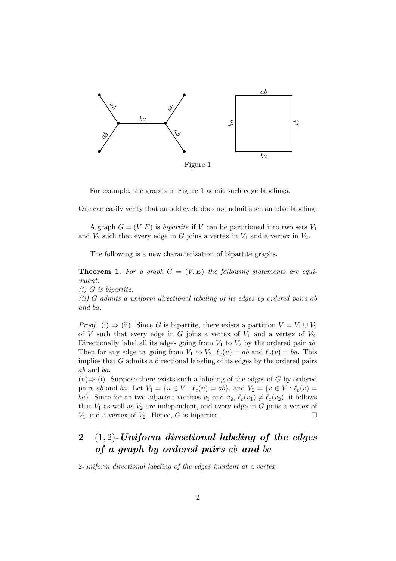

For example, the graphs in Figure 1 admit such edge labelings.

One can easily verify that an odd cycle does not admit such an edge labeling.

A graph  $G = (V, E)$  is *bipartite* if V can be partitioned into two sets  $V_1$ and  $V_2$  such that every edge in G joins a vertex in  $V_1$  and a vertex in  $V_2$ .

The following is a new characterization of bipartite graphs.

**Theorem 1.** For a graph  $G = (V, E)$  the following statements are equivalent.

 $(i)$  G is bipartite.

(ii) G admits a uniform directional labeling of its edges by ordered pairs ab and ba.

*Proof.* (i)  $\Rightarrow$  (ii). Since G is bipartite, there exists a partition  $V = V_1 \cup V_2$ of V such that every edge in G joins a vertex of  $V_1$  and a vertex of  $V_2$ . Directionally label all its edges going from  $V_1$  to  $V_2$  by the ordered pair ab. Then for any edge uv going from  $V_1$  to  $V_2$ ,  $\ell_e(u) = ab$  and  $\ell_e(v) = ba$ . This implies that G admits a directional labeling of its edges by the ordered pairs ab and ba.

 $(iii) \Rightarrow (i)$ . Suppose there exists such a labeling of the edges of G by ordered pairs ab and ba. Let  $V_1 = \{u \in V : \ell_e(u) = ab\}$ , and  $V_2 = \{v \in V : \ell_e(v) =$ ba}. Since for an two adjacent vertices  $v_1$  and  $v_2$ ,  $\ell_e(v_1) \neq \ell_e(v_2)$ , it follows that  $V_1$  as well as  $V_2$  are independent, and every edge in G joins a vertex of  $V_1$  and a vertex of  $V_2$ . Hence, G is bipartite.

## 2  $(1, 2)$ -Uniform directional labeling of the edges of a graph by ordered pairs ab and ba

2-uniform directional labeling of the edges incident at a vertex.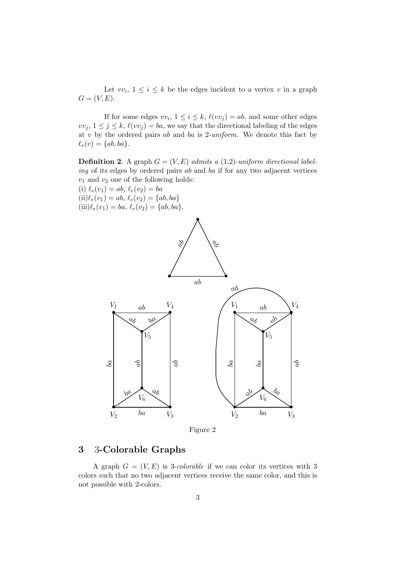Let  $vv_i$ ,  $1 \leq i \leq k$  be the edges incident to a vertex v in a graph  $G = (V, E).$ 

If for some edges  $vv_i$ ,  $1 \leq i \leq k$ ,  $\ell(vv_j) = ab$ , and some other edges  $vv_j, 1 \leq j \leq k, \ell(vv_j) = ba$ , we say that the directional labeling of the edges at  $v$  by the ordered pairs  $ab$  and  $ba$  is 2-uniform. We denote this fact by  $\ell_e(v) = \{ab, ba\}.$ 

**Definition 2.** A graph  $G = (V, E)$  admits a (1,2)-uniform directional labeling of its edges by ordered pairs ab and ba if for any two adjacent vertices  $v_1$  and  $v_2$  one of the following holds:

(i)  $\ell_e(v_1) = ab, \ell_e(v_2) = ba$  $(ii) \ell_e(v_1) = ab, \ell_e(v_2) = \{ab, ba\}$  $(iii) \ell_e(v_1) = ba, \ell_e(v_2) = \{ab, ba\}.$ 



Figure 2

### 3 3-Colorable Graphs

A graph  $G = (V, E)$  is 3-*colorable* if we can color its vertices with 3 colors such that no two adjacent vertices receive the same color, and this is not possible with 2-colors.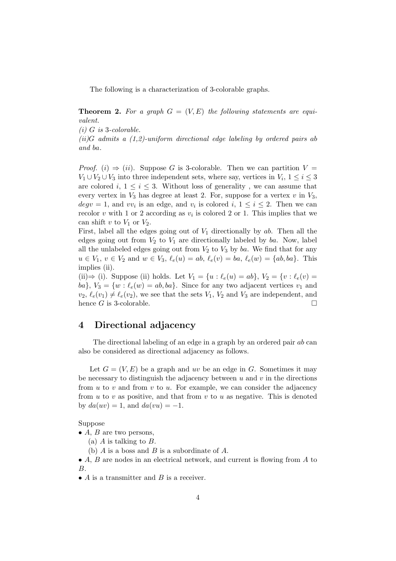The following is a characterization of 3-colorable graphs.

**Theorem 2.** For a graph  $G = (V, E)$  the following statements are equivalent.

 $(i)$  G is 3-colorable.

 $(ii)$ G admits a  $(1,2)$ -uniform directional edge labeling by ordered pairs ab and ba.

*Proof.* (i)  $\Rightarrow$  (ii). Suppose G is 3-colorable. Then we can partition  $V =$  $V_1 \cup V_2 \cup V_3$  into three independent sets, where say, vertices in  $V_i$ ,  $1 \leq i \leq 3$ are colored i,  $1 \leq i \leq 3$ . Without loss of generality, we can assume that every vertex in  $V_3$  has degree at least 2. For, suppose for a vertex v in  $V_3$ ,  $deg v = 1$ , and  $vv_i$  is an edge, and  $v_i$  is colored  $i, 1 \leq i \leq 2$ . Then we can recolor v with 1 or 2 according as  $v_i$  is colored 2 or 1. This implies that we can shift v to  $V_1$  or  $V_2$ .

First, label all the edges going out of  $V_1$  directionally by ab. Then all the edges going out from  $V_2$  to  $V_1$  are directionally labeled by ba. Now, label all the unlabeled edges going out from  $V_2$  to  $V_3$  by ba. We find that for any  $u \in V_1$ ,  $v \in V_2$  and  $w \in V_3$ ,  $\ell_e(u) = ab$ ,  $\ell_e(v) = ba$ ,  $\ell_e(w) = \{ab, ba\}$ . This implies (ii).

(ii)⇒ (i). Suppose (ii) holds. Let  $V_1 = \{u : \ell_e(u) = ab\}$ ,  $V_2 = \{v : \ell_e(v) =$ ba},  $V_3 = \{w : \ell_e(w) = ab, ba\}$ . Since for any two adjacent vertices  $v_1$  and  $v_2, \ell_e(v_1) \neq \ell_e(v_2)$ , we see that the sets  $V_1, V_2$  and  $V_3$  are independent, and hence G is 3-colorable.  $\Box$ 

### 4 Directional adjacency

The directional labeling of an edge in a graph by an ordered pair ab can also be considered as directional adjacency as follows.

Let  $G = (V, E)$  be a graph and uv be an edge in G. Sometimes it may be necessary to distinguish the adjacency between  $u$  and  $v$  in the directions from  $u$  to  $v$  and from  $v$  to  $u$ . For example, we can consider the adjacency from  $u$  to  $v$  as positive, and that from  $v$  to  $u$  as negative. This is denoted by  $da(uv) = 1$ , and  $da(vu) = -1$ .

#### Suppose

•  $A, B$  are two persons,

(a)  $A$  is talking to  $B$ .

(b)  $A$  is a boss and  $B$  is a subordinate of  $A$ .

• A, B are nodes in an electrical network, and current is flowing from A to B.

•  $A$  is a transmitter and  $B$  is a receiver.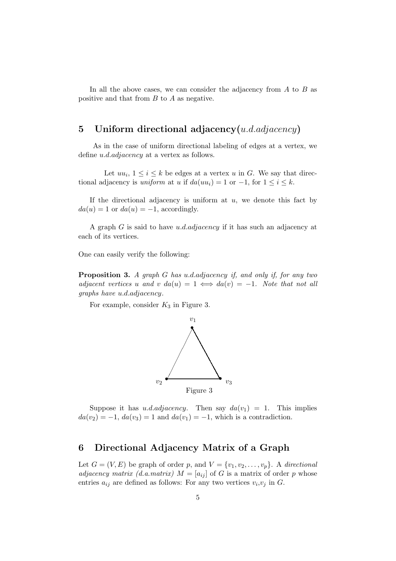In all the above cases, we can consider the adjacency from  $A$  to  $B$  as positive and that from B to A as negative.

### 5 Uniform directional adjacency $(u.d.adjacency)$

As in the case of uniform directional labeling of edges at a vertex, we define u.d.adjacency at a vertex as follows.

Let  $uu_i, 1 \leq i \leq k$  be edges at a vertex u in G. We say that directional adjacency is *uniform* at u if  $da(uu_i) = 1$  or  $-1$ , for  $1 \le i \le k$ .

If the directional adjacency is uniform at  $u$ , we denote this fact by  $da(u) = 1$  or  $da(u) = -1$ , accordingly.

A graph G is said to have u.d.adjacency if it has such an adjacency at each of its vertices.

One can easily verify the following:

Proposition 3. A graph G has u.d.adjacency if, and only if, for any two adjacent vertices u and v da(u) = 1  $\iff da(v) = -1$ . Note that not all graphs have u.d.adjacency.

For example, consider  $K_3$  in Figure 3.



Suppose it has u.d.adjacency. Then say  $da(v_1) = 1$ . This implies  $da(v_2) = -1, da(v_3) = 1$  and  $da(v_1) = -1$ , which is a contradiction.

### 6 Directional Adjacency Matrix of a Graph

Let  $G = (V, E)$  be graph of order p, and  $V = \{v_1, v_2, \ldots, v_p\}$ . A directional adjacency matrix (d.a.matrix)  $M = [a_{ij}]$  of G is a matrix of order p whose entries  $a_{ij}$  are defined as follows: For any two vertices  $v_i, v_j$  in G.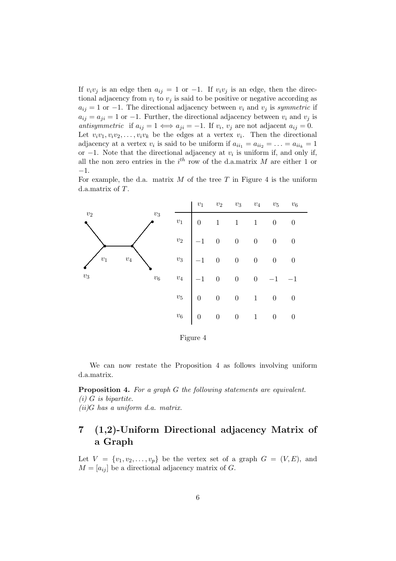If  $v_i v_j$  is an edge then  $a_{ij} = 1$  or  $-1$ . If  $v_i v_j$  is an edge, then the directional adjacency from  $v_i$  to  $v_j$  is said to be positive or negative according as  $a_{ij} = 1$  or −1. The directional adjacency between  $v_i$  and  $v_j$  is symmetric if  $a_{ij} = a_{ji} = 1$  or -1. Further, the directional adjacency between  $v_i$  and  $v_j$  is antisymmetric if  $a_{ij} = 1 \iff a_{ji} = -1$ . If  $v_i$ ,  $v_j$  are not adjacent  $a_{ij} = 0$ . Let  $v_i v_1, v_i v_2, \ldots, v_i v_k$  be the edges at a vertex  $v_i$ . Then the directional adjacency at a vertex  $v_i$  is said to be uniform if  $a_{ii_1} = a_{ii_2} = \ldots = a_{ii_k} = 1$ or  $-1$ . Note that the directional adjacency at  $v_i$  is uniform if, and only if, all the non zero entries in the  $i<sup>th</sup>$  row of the d.a.matrix M are either 1 or −1.

For example, the d.a. matrix  $M$  of the tree  $T$  in Figure 4 is the uniform d.a.matrix of T.



Figure 4

We can now restate the Proposition 4 as follows involving uniform d.a.matrix.

Proposition 4. For a graph G the following statements are equivalent.  $(i)$  G is bipartite.  $(ii)$ G has a uniform d.a. matrix.

## 7 (1,2)-Uniform Directional adjacency Matrix of a Graph

Let  $V = \{v_1, v_2, \ldots, v_p\}$  be the vertex set of a graph  $G = (V, E)$ , and  $M = [a_{ij}]$  be a directional adjacency matrix of G.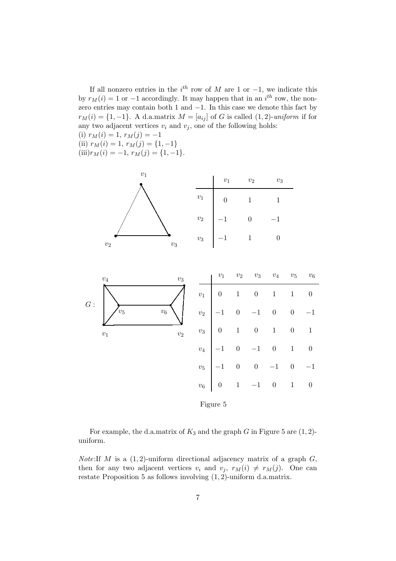If all nonzero entries in the  $i^{th}$  row of M are 1 or -1, we indicate this by  $r_M(i) = 1$  or  $-1$  accordingly. It may happen that in an  $i^{th}$  row, the nonzero entries may contain both 1 and −1. In this case we denote this fact by  $r_M(i) = \{1, -1\}$ . A d.a.matrix  $M = [a_{ij}]$  of G is called  $(1, 2)$ -uniform if for any two adjacent vertices  $v_i$  and  $v_j$ , one of the following holds: (i)  $r_M(i) = 1, r_M(j) = -1$ (ii)  $r_M(i) = 1, r_M(j) = \{1, -1\}$ (iii) $r_M(i) = -1, r_M(j) = \{1, -1\}.$ 



For example, the d.a.matrix of  $K_3$  and the graph G in Figure 5 are  $(1, 2)$ uniform.

*Note:*If *M* is a  $(1, 2)$ -uniform directional adjacency matrix of a graph  $G$ , then for any two adjacent vertices  $v_i$  and  $v_j$ ,  $r_M(i) \neq r_M(j)$ . One can restate Proposition 5 as follows involving  $(1, 2)$ -uniform d.a.matrix.